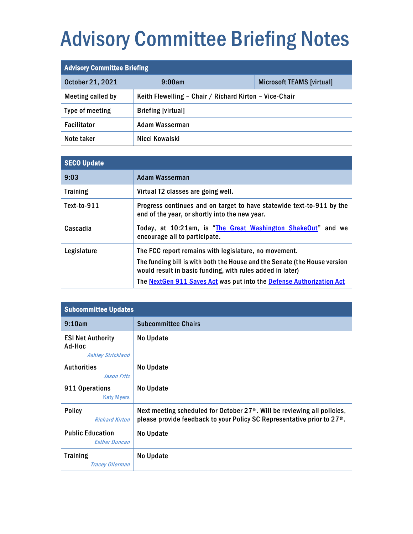## Advisory Committee Briefing Notes

| <b>Advisory Committee Briefing</b> |  |                                                        |                                  |
|------------------------------------|--|--------------------------------------------------------|----------------------------------|
| October 21, 2021                   |  | 9:00am                                                 | <b>Microsoft TEAMS [virtual]</b> |
| Meeting called by                  |  | Keith Flewelling - Chair / Richard Kirton - Vice-Chair |                                  |
| Type of meeting                    |  | <b>Briefing [virtual]</b>                              |                                  |
| <b>Facilitator</b>                 |  | Adam Wasserman                                         |                                  |
| Note taker                         |  | Nicci Kowalski                                         |                                  |

| <b>SECO Update</b> |                                                                                                                                        |
|--------------------|----------------------------------------------------------------------------------------------------------------------------------------|
| 9:03               | Adam Wasserman                                                                                                                         |
| <b>Training</b>    | Virtual T2 classes are going well.                                                                                                     |
| Text-to-911        | Progress continues and on target to have statewide text-to-911 by the<br>end of the year, or shortly into the new year.                |
| Cascadia           | Today, at 10:21am, is "The Great Washington ShakeOut" and we<br>encourage all to participate.                                          |
| Legislature        | The FCC report remains with legislature, no movement.                                                                                  |
|                    | The funding bill is with both the House and the Senate (the House version<br>would result in basic funding, with rules added in later) |
|                    | The <b>NextGen 911 Saves Act</b> was put into the <b>Defense Authorization Act</b>                                                     |

| <b>Subcommittee Updates</b>                                    |                                                                                                                                                                               |
|----------------------------------------------------------------|-------------------------------------------------------------------------------------------------------------------------------------------------------------------------------|
| 9:10am                                                         | <b>Subcommittee Chairs</b>                                                                                                                                                    |
| <b>ESI Net Authority</b><br>Ad-Hoc<br><b>Ashley Strickland</b> | No Update                                                                                                                                                                     |
| <b>Authorities</b><br><b>Jason Fritz</b>                       | No Update                                                                                                                                                                     |
| 911 Operations<br><b>Katy Myers</b>                            | No Update                                                                                                                                                                     |
| <b>Policy</b><br><b>Richard Kirton</b>                         | Next meeting scheduled for October 27 <sup>th</sup> . Will be reviewing all policies,<br>please provide feedback to your Policy SC Representative prior to 27 <sup>th</sup> . |
| <b>Public Education</b><br><b>Esther Duncan</b>                | No Update                                                                                                                                                                     |
| <b>Training</b><br><b>Tracey Ollerman</b>                      | No Update                                                                                                                                                                     |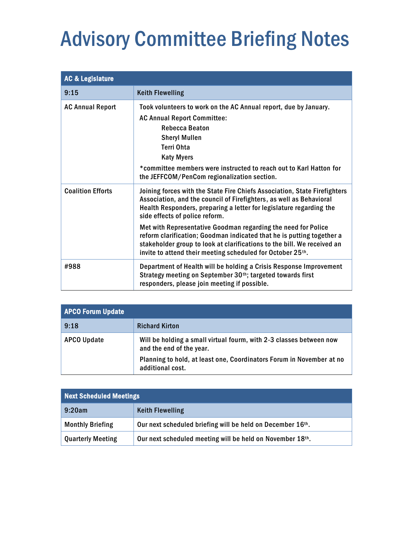## Advisory Committee Briefing Notes

| <b>AC &amp; Legislature</b> |                                                                                                                                                                                                                                                                                                                                                                                                                                                                                                                                              |
|-----------------------------|----------------------------------------------------------------------------------------------------------------------------------------------------------------------------------------------------------------------------------------------------------------------------------------------------------------------------------------------------------------------------------------------------------------------------------------------------------------------------------------------------------------------------------------------|
| 9:15                        | <b>Keith Flewelling</b>                                                                                                                                                                                                                                                                                                                                                                                                                                                                                                                      |
| <b>AC Annual Report</b>     | Took volunteers to work on the AC Annual report, due by January.<br><b>AC Annual Report Committee:</b><br><b>Rebecca Beaton</b><br><b>Sheryl Mullen</b><br>Terri Ohta<br><b>Katy Myers</b><br>*committee members were instructed to reach out to Karl Hatton for<br>the JEFFCOM/PenCom regionalization section.                                                                                                                                                                                                                              |
| <b>Coalition Efforts</b>    | Joining forces with the State Fire Chiefs Association, State Firefighters<br>Association, and the council of Firefighters, as well as Behavioral<br>Health Responders, preparing a letter for legislature regarding the<br>side effects of police reform.<br>Met with Representative Goodman regarding the need for Police<br>reform clarification; Goodman indicated that he is putting together a<br>stakeholder group to look at clarifications to the bill. We received an<br>invite to attend their meeting scheduled for October 25th. |
| #988                        | Department of Health will be holding a Crisis Response Improvement<br>Strategy meeting on September 30th; targeted towards first<br>responders, please join meeting if possible.                                                                                                                                                                                                                                                                                                                                                             |

| <b>APCO Forum Update</b> |                                                                                                 |
|--------------------------|-------------------------------------------------------------------------------------------------|
| 9:18                     | <b>Richard Kirton</b>                                                                           |
| <b>APCO Update</b>       | Will be holding a small virtual fourm, with 2-3 classes between now<br>and the end of the year. |
|                          | Planning to hold, at least one, Coordinators Forum in November at no<br>additional cost.        |

| <b>Next Scheduled Meetings</b> |                                                            |  |
|--------------------------------|------------------------------------------------------------|--|
| 9:20am                         | <b>Keith Flewelling</b>                                    |  |
| <b>Monthly Briefing</b>        | Our next scheduled briefing will be held on December 16th. |  |
| <b>Quarterly Meeting</b>       | Our next scheduled meeting will be held on November 18th.  |  |